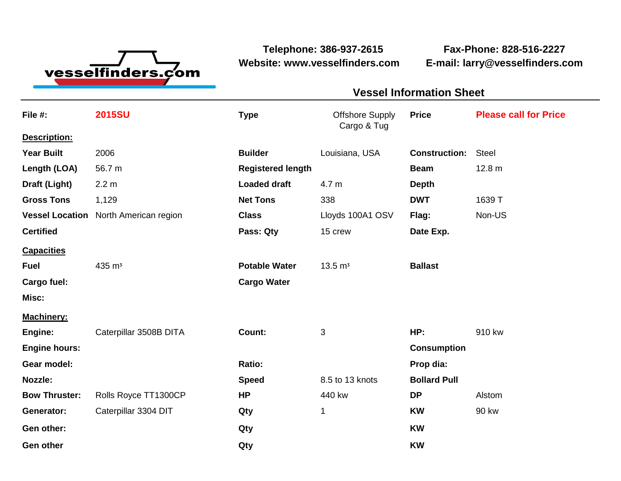

**Telephone: 386-937-2615 Fax-Phone: 828-516-2227 Website: www.vesselfinders.com E-mail: larry@vesselfinders.com**

## **Vessel Information Sheet Vessel Information Sheet**

| File #:                | <b>2015SU</b>          | <b>Type</b>              | <b>Offshore Supply</b><br>Cargo & Tug | <b>Price</b>         | <b>Please call for Price</b> |
|------------------------|------------------------|--------------------------|---------------------------------------|----------------------|------------------------------|
| Description:           |                        |                          |                                       |                      |                              |
| <b>Year Built</b>      | 2006                   | <b>Builder</b>           | Louisiana, USA                        | <b>Construction:</b> | <b>Steel</b>                 |
| Length (LOA)           | 56.7 m                 | <b>Registered length</b> |                                       | <b>Beam</b>          | 12.8 m                       |
| Draft (Light)          | 2.2 <sub>m</sub>       | <b>Loaded draft</b>      | 4.7 m                                 | <b>Depth</b>         |                              |
| <b>Gross Tons</b>      | 1,129                  | <b>Net Tons</b>          | 338                                   | <b>DWT</b>           | 1639 T                       |
| <b>Vessel Location</b> | North American region  | <b>Class</b>             | Lloyds 100A1 OSV                      | Flag:                | Non-US                       |
| <b>Certified</b>       |                        | Pass: Qty                | 15 crew                               | Date Exp.            |                              |
| <b>Capacities</b>      |                        |                          |                                       |                      |                              |
| <b>Fuel</b>            | 435 m <sup>3</sup>     | <b>Potable Water</b>     | $13.5 \text{ m}^3$                    | <b>Ballast</b>       |                              |
| Cargo fuel:            |                        | <b>Cargo Water</b>       |                                       |                      |                              |
| Misc:                  |                        |                          |                                       |                      |                              |
| <b>Machinery:</b>      |                        |                          |                                       |                      |                              |
| Engine:                | Caterpillar 3508B DITA | Count:                   | 3                                     | HP:                  | 910 kw                       |
| <b>Engine hours:</b>   |                        |                          |                                       | <b>Consumption</b>   |                              |
| Gear model:            |                        | Ratio:                   |                                       | Prop dia:            |                              |
| Nozzle:                |                        | <b>Speed</b>             | 8.5 to 13 knots                       | <b>Bollard Pull</b>  |                              |
| <b>Bow Thruster:</b>   | Rolls Royce TT1300CP   | <b>HP</b>                | 440 kw                                | <b>DP</b>            | Alstom                       |
| Generator:             | Caterpillar 3304 DIT   | Qty                      | 1                                     | <b>KW</b>            | 90 kw                        |
| Gen other:             |                        | Qty                      |                                       | <b>KW</b>            |                              |
| <b>Gen other</b>       |                        | Qty                      |                                       | <b>KW</b>            |                              |